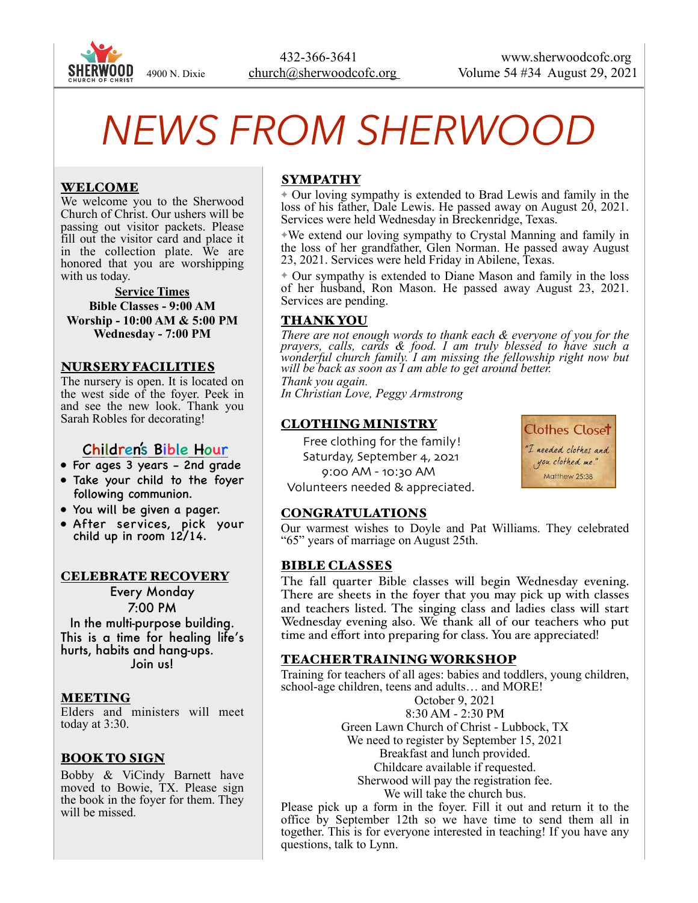

# *NEWS FROM SHERWOOD*

# WELCOME

We welcome you to the Sherwood Church of Christ. Our ushers will be passing out visitor packets. Please fill out the visitor card and place it in the collection plate. We are honored that you are worshipping with us today.

**Service Times Bible Classes - 9:00 AM Worship - 10:00 AM & 5:00 PM Wednesday - 7:00 PM** 

#### NURSERY FACILITIES

The nursery is open. It is located on the west side of the foyer. Peek in and see the new look. Thank you Sarah Robles for decorating!

# Children's Bible Hour

- For ages 3 years 2nd grade
- Take your child to the foyer following communion.
- You will be given a pager.
- After services, pick your child up in room 12/14.

#### CELEBRATE RECOVERY

Every Monday 7:00 PM

In the multi-purpose building. This is a time for healing life's hurts, habits and hang-ups. Join us!

#### MEETING

Elders and ministers will meet today at 3:30.

# BOOK TO SIGN

Bobby & ViCindy Barnett have moved to Bowie, TX. Please sign the book in the foyer for them. They will be missed.

# SYMPATHY

✦ Our loving sympathy is extended to Brad Lewis and family in the loss of his father, Dale Lewis. He passed away on August 20, 2021. Services were held Wednesday in Breckenridge, Texas.

✦We extend our loving sympathy to Crystal Manning and family in the loss of her grandfather, Glen Norman. He passed away August 23, 2021. Services were held Friday in Abilene, Texas.

✦ Our sympathy is extended to Diane Mason and family in the loss of her husband, Ron Mason. He passed away August 23, 2021. Services are pending.

#### THANK YOU

*There are not enough words to thank each & everyone of you for the prayers, calls, cards & food. I am truly blessed to have such a wonderful church family. I am missing the fellowship right now but will be back as soon as I am able to get around better.* 

*Thank you again. In Christian Love, Peggy Armstrong*

# CLOTHING MINISTRY

Free clothing for the family!

 Saturday, September 4, 2021 9:00 AM - 10:30 AM Volunteers needed & appreciated. **Clothes Closet** "I needed clothes and you clothed me." Matthew 25:38

#### CONGRATULATIONS

Our warmest wishes to Doyle and Pat Williams. They celebrated "65" years of marriage on August 25th.

#### **BIBLE CLASSES**

The fall quarter Bible classes will begin Wednesday evening. There are sheets in the foyer that you may pick up with classes and teachers listed. The singing class and ladies class will start Wednesday evening also. We thank all of our teachers who put time and effort into preparing for class. You are appreciated!

#### TEACHER TRAINING WORKSHOP

Training for teachers of all ages: babies and toddlers, young children, school-age children, teens and adults… and MORE!

> October 9, 2021 8:30 AM - 2:30 PM Green Lawn Church of Christ - Lubbock, TX We need to register by September 15, 2021 Breakfast and lunch provided. Childcare available if requested. Sherwood will pay the registration fee. We will take the church bus.

Please pick up a form in the foyer. Fill it out and return it to the office by September 12th so we have time to send them all in together. This is for everyone interested in teaching! If you have any questions, talk to Lynn.